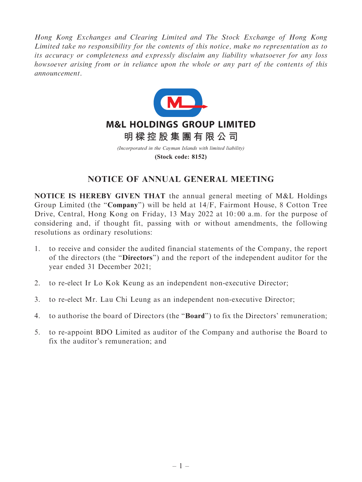Hong Kong Exchanges and Clearing Limited and The Stock Exchange of Hong Kong Limited take no responsibility for the contents of this notice, make no representation as to its accuracy or completeness and expressly disclaim any liability whatsoever for any loss howsoever arising from or in reliance upon the whole or any part of the contents of this announcement.



**(Stock code: 8152)**

## NOTICE OF ANNUAL GENERAL MEETING

NOTICE IS HEREBY GIVEN THAT the annual general meeting of M&L Holdings Group Limited (the ''Company'') will be held at 14/F, Fairmont House, 8 Cotton Tree Drive, Central, Hong Kong on Friday, 13 May 2022 at 10: 00 a.m. for the purpose of considering and, if thought fit, passing with or without amendments, the following resolutions as ordinary resolutions:

- 1. to receive and consider the audited financial statements of the Company, the report of the directors (the ''Directors'') and the report of the independent auditor for the year ended 31 December 2021;
- 2. to re-elect Ir Lo Kok Keung as an independent non-executive Director;
- 3. to re-elect Mr. Lau Chi Leung as an independent non-executive Director;
- 4. to authorise the board of Directors (the ''Board'') to fix the Directors' remuneration;
- 5. to re-appoint BDO Limited as auditor of the Company and authorise the Board to fix the auditor's remuneration; and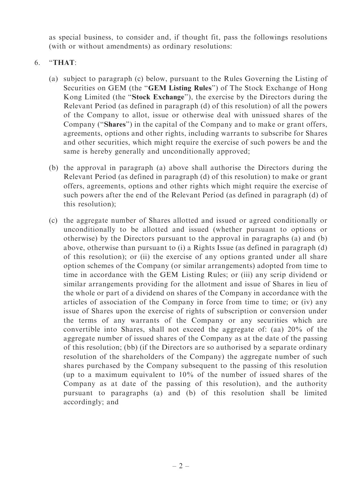as special business, to consider and, if thought fit, pass the followings resolutions (with or without amendments) as ordinary resolutions:

## 6. ''THAT:

- (a) subject to paragraph (c) below, pursuant to the Rules Governing the Listing of Securities on GEM (the "GEM Listing Rules") of The Stock Exchange of Hong Kong Limited (the ''Stock Exchange''), the exercise by the Directors during the Relevant Period (as defined in paragraph (d) of this resolution) of all the powers of the Company to allot, issue or otherwise deal with unissued shares of the Company (''Shares'') in the capital of the Company and to make or grant offers, agreements, options and other rights, including warrants to subscribe for Shares and other securities, which might require the exercise of such powers be and the same is hereby generally and unconditionally approved;
- (b) the approval in paragraph (a) above shall authorise the Directors during the Relevant Period (as defined in paragraph (d) of this resolution) to make or grant offers, agreements, options and other rights which might require the exercise of such powers after the end of the Relevant Period (as defined in paragraph (d) of this resolution);
- (c) the aggregate number of Shares allotted and issued or agreed conditionally or unconditionally to be allotted and issued (whether pursuant to options or otherwise) by the Directors pursuant to the approval in paragraphs (a) and (b) above, otherwise than pursuant to (i) a Rights Issue (as defined in paragraph (d) of this resolution); or (ii) the exercise of any options granted under all share option schemes of the Company (or similar arrangements) adopted from time to time in accordance with the GEM Listing Rules; or (iii) any scrip dividend or similar arrangements providing for the allotment and issue of Shares in lieu of the whole or part of a dividend on shares of the Company in accordance with the articles of association of the Company in force from time to time; or (iv) any issue of Shares upon the exercise of rights of subscription or conversion under the terms of any warrants of the Company or any securities which are convertible into Shares, shall not exceed the aggregate of: (aa) 20% of the aggregate number of issued shares of the Company as at the date of the passing of this resolution; (bb) (if the Directors are so authorised by a separate ordinary resolution of the shareholders of the Company) the aggregate number of such shares purchased by the Company subsequent to the passing of this resolution (up to a maximum equivalent to 10% of the number of issued shares of the Company as at date of the passing of this resolution), and the authority pursuant to paragraphs (a) and (b) of this resolution shall be limited accordingly; and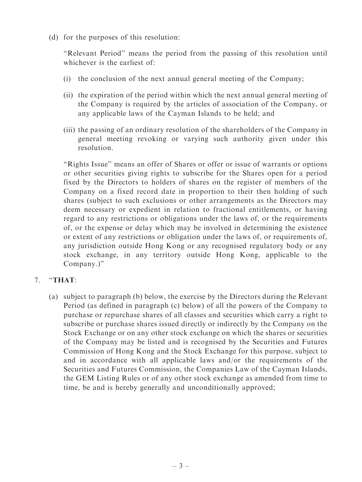(d) for the purposes of this resolution:

''Relevant Period'' means the period from the passing of this resolution until whichever is the earliest of:

- (i) the conclusion of the next annual general meeting of the Company;
- (ii) the expiration of the period within which the next annual general meeting of the Company is required by the articles of association of the Company, or any applicable laws of the Cayman Islands to be held; and
- (iii) the passing of an ordinary resolution of the shareholders of the Company in general meeting revoking or varying such authority given under this resolution.

''Rights Issue'' means an offer of Shares or offer or issue of warrants or options or other securities giving rights to subscribe for the Shares open for a period fixed by the Directors to holders of shares on the register of members of the Company on a fixed record date in proportion to their then holding of such shares (subject to such exclusions or other arrangements as the Directors may deem necessary or expedient in relation to fractional entitlements, or having regard to any restrictions or obligations under the laws of, or the requirements of, or the expense or delay which may be involved in determining the existence or extent of any restrictions or obligation under the laws of, or requirements of, any jurisdiction outside Hong Kong or any recognised regulatory body or any stock exchange, in any territory outside Hong Kong, applicable to the Company.)''

- 7. ''THAT:
	- (a) subject to paragraph (b) below, the exercise by the Directors during the Relevant Period (as defined in paragraph (c) below) of all the powers of the Company to purchase or repurchase shares of all classes and securities which carry a right to subscribe or purchase shares issued directly or indirectly by the Company on the Stock Exchange or on any other stock exchange on which the shares or securities of the Company may be listed and is recognised by the Securities and Futures Commission of Hong Kong and the Stock Exchange for this purpose, subject to and in accordance with all applicable laws and/or the requirements of the Securities and Futures Commission, the Companies Law of the Cayman Islands, the GEM Listing Rules or of any other stock exchange as amended from time to time, be and is hereby generally and unconditionally approved;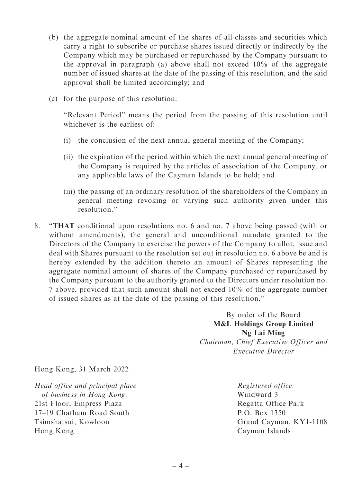- (b) the aggregate nominal amount of the shares of all classes and securities which carry a right to subscribe or purchase shares issued directly or indirectly by the Company which may be purchased or repurchased by the Company pursuant to the approval in paragraph (a) above shall not exceed 10% of the aggregate number of issued shares at the date of the passing of this resolution, and the said approval shall be limited accordingly; and
- (c) for the purpose of this resolution:

''Relevant Period'' means the period from the passing of this resolution until whichever is the earliest of

- (i) the conclusion of the next annual general meeting of the Company;
- (ii) the expiration of the period within which the next annual general meeting of the Company is required by the articles of association of the Company, or any applicable laws of the Cayman Islands to be held; and
- (iii) the passing of an ordinary resolution of the shareholders of the Company in general meeting revoking or varying such authority given under this resolution.''
- 8. ''THAT conditional upon resolutions no. 6 and no. 7 above being passed (with or without amendments), the general and unconditional mandate granted to the Directors of the Company to exercise the powers of the Company to allot, issue and deal with Shares pursuant to the resolution set out in resolution no. 6 above be and is hereby extended by the addition thereto an amount of Shares representing the aggregate nominal amount of shares of the Company purchased or repurchased by the Company pursuant to the authority granted to the Directors under resolution no. 7 above, provided that such amount shall not exceed 10% of the aggregate number of issued shares as at the date of the passing of this resolution.''

By order of the Board M&L Holdings Group Limited Ng Lai Ming Chairman, Chief Executive Officer and Executive Director

Hong Kong, 31 March 2022

Head office and principal place of business in Hong Kong: 21st Floor, Empress Plaza 17–19 Chatham Road South Tsimshatsui, Kowloon Hong Kong

Registered office: Windward 3 Regatta Office Park P.O. Box 1350 Grand Cayman, KY1-1108 Cayman Islands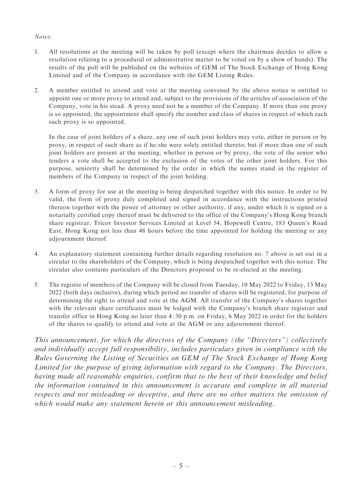## Notes:

- 1. All resolutions at the meeting will be taken by poll (except where the chairman decides to allow a resolution relating to a procedural or administrative matter to be voted on by a show of hands). The results of the poll will be published on the websites of GEM of The Stock Exchange of Hong Kong Limited and of the Company in accordance with the GEM Listing Rules.
- 2. A member entitled to attend and vote at the meeting convened by the above notice is entitled to appoint one or more proxy to attend and, subject to the provisions of the articles of association of the Company, vote in his stead. A proxy need not be a member of the Company. If more than one proxy is so appointed, the appointment shall specify the number and class of shares in respect of which each such proxy is so appointed.

In the case of joint holders of a share, any one of such joint holders may vote, either in person or by proxy, in respect of such share as if he/she were solely entitled thereto; but if more than one of such joint holders are present at the meeting, whether in person or by proxy, the vote of the senior who tenders a vote shall be accepted to the exclusion of the votes of the other joint holders. For this purpose, seniority shall be determined by the order in which the names stand in the register of members of the Company in respect of the joint holding.

- 3. A form of proxy for use at the meeting is being despatched together with this notice. In order to be valid, the form of proxy duly completed and signed in accordance with the instructions printed thereon together with the power of attorney or other authority, if any, under which it is signed or a notarially certified copy thereof must be delivered to the office of the Company's Hong Kong branch share registrar, Tricor Investor Services Limited at Level 54, Hopewell Centre, 183 Queen's Road East, Hong Kong not less than 48 hours before the time appointed for holding the meeting or any adjournment thereof.
- 4. An explanatory statement containing further details regarding resolution no. 7 above is set out in a circular to the shareholders of the Company, which is being despatched together with this notice. The circular also contains particulars of the Directors proposed to be re-elected at the meeting.
- 5. The register of members of the Company will be closed from Tuesday, 10 May 2022 to Friday, 13 May 2022 (both days inclusive), during which period no transfer of shares will be registered, for purpose of determining the right to attend and vote at the AGM. All transfer of the Company's shares together with the relevant share certificates must be lodged with the Company's branch share registrar and transfer office in Hong Kong no later than 4: 30 p.m. on Friday, 6 May 2022 in order for the holders of the shares to qualify to attend and vote at the AGM or any adjournment thereof.

This announcement, for which the directors of the Company (the ''Directors'') collectively and individually accept full responsibility, includes particulars given in compliance with the Rules Governing the Listing of Securities on GEM of The Stock Exchange of Hong Kong Limited for the purpose of giving information with regard to the Company. The Directors, having made all reasonable enquiries, confirm that to the best of their knowledge and belief the information contained in this announcement is accurate and complete in all material respects and not misleading or deceptive, and there are no other matters the omission of which would make any statement herein or this announcement misleading.